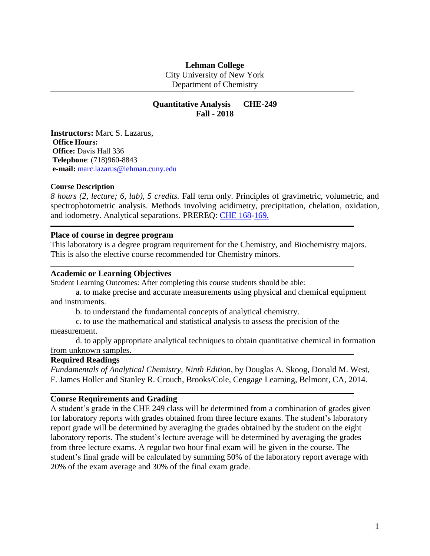## **Lehman College**

City University of New York Department of Chemistry

# **Quantitative Analysis CHE-249 Fall - 2018**

**Instructors:** Marc S. Lazarus, **Office Hours: Office:** Davis Hall 336 **Telephone**: (718)960-8843 **e-mail:** [marc.lazarus@lehman.cuny.edu](mailto:%20marc.lazarus@lehman.cuny.edu)

#### **Course Description**

*8 hours (2, lecture; 6, lab), 5 credits.* Fall term only. Principles of gravimetric, volumetric, and spectrophotometric analysis. Methods involving acidimetry, precipitation, chelation, oxidation, and iodometry. Analytical separations. PREREQ: [CHE 168](http://www.lehman.edu/undergraduate-bulletin/che168generalchemistryii.htm)[-169.](http://www.lehman.edu/undergraduate-bulletin/che169generalchemistrylaboratoryii.htm)

#### **Place of course in degree program**

This laboratory is a degree program requirement for the Chemistry, and Biochemistry majors. This is also the elective course recommended for Chemistry minors.

#### **Academic or Learning Objectives**

Student Learning Outcomes: After completing this course students should be able:

a. to make precise and accurate measurements using physical and chemical equipment and instruments.

b. to understand the fundamental concepts of analytical chemistry.

c. to use the mathematical and statistical analysis to assess the precision of the measurement.

d. to apply appropriate analytical techniques to obtain quantitative chemical in formation from unknown samples.

#### **Required Readings**

*Fundamentals of Analytical Chemistry, Ninth Edition*, by Douglas A. Skoog, Donald M. West, F. James Holler and Stanley R. Crouch, Brooks/Cole, Cengage Learning, Belmont, CA, 2014.

#### **Course Requirements and Grading**

A student's grade in the CHE 249 class will be determined from a combination of grades given for laboratory reports with grades obtained from three lecture exams. The student's laboratory report grade will be determined by averaging the grades obtained by the student on the eight laboratory reports. The student's lecture average will be determined by averaging the grades from three lecture exams. A regular two hour final exam will be given in the course. The student's final grade will be calculated by summing 50% of the laboratory report average with 20% of the exam average and 30% of the final exam grade.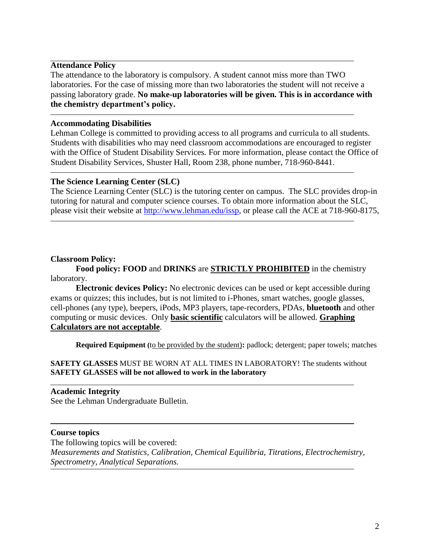## **Attendance Policy**

The attendance to the laboratory is compulsory. A student cannot miss more than TWO laboratories. For the case of missing more than two laboratories the student will not receive a passing laboratory grade. **No make-up laboratories will be given. This is in accordance with the chemistry department's policy.**

## **Accommodating Disabilities**

Lehman College is committed to providing access to all programs and curricula to all students. Students with disabilities who may need classroom accommodations are encouraged to register with the Office of Student Disability Services. For more information, please contact the Office of Student Disability Services, Shuster Hall, Room 238, phone number, 718-960-8441.

## **The Science Learning Center (SLC)**

The Science Learning Center (SLC) is the tutoring center on campus. The SLC provides drop-in tutoring for natural and computer science courses. To obtain more information about the SLC, please visit their website at [http://www.lehman.edu/issp,](http://www.lehman.edu/issp) or please call the ACE at 718-960-8175,

## **Classroom Policy:**

**Food policy: FOOD** and **DRINKS** are **STRICTLY PROHIBITED** in the chemistry laboratory.

**Electronic devices Policy:** No electronic devices can be used or kept accessible during exams or quizzes; this includes, but is not limited to i-Phones, smart watches, google glasses, cell-phones (any type), beepers, iPods, MP3 players, tape-recorders, PDAs, **bluetooth** and other computing or music devices. Only **basic scientific** calculators will be allowed. **Graphing Calculators are not acceptable**.

**Required Equipment (**to be provided by the student)**:** padlock; detergent; paper towels; matches

## **SAFETY GLASSES** MUST BE WORN AT ALL TIMES IN LABORATORY! The students without **SAFETY GLASSES will be not allowed to work in the laboratory**

## **Academic Integrity**

See the Lehman Undergraduate Bulletin.

#### **Course topics**

The following topics will be covered: *Measurements and Statistics, Calibration, Chemical Equilibria, Titrations, Electrochemistry, Spectrometry, Analytical Separations.*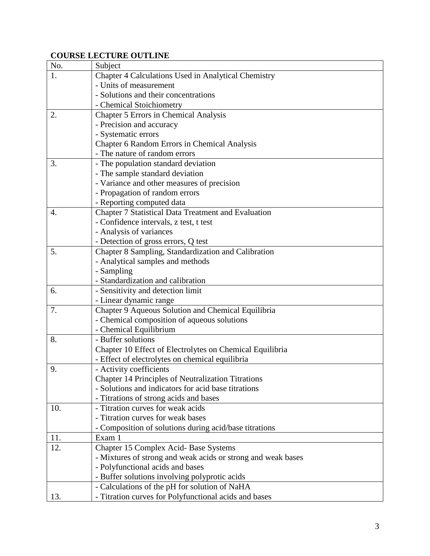# **COURSE LECTURE OUTLINE**

| No. | Subject                                                      |  |  |  |  |  |  |
|-----|--------------------------------------------------------------|--|--|--|--|--|--|
| 1.  | Chapter 4 Calculations Used in Analytical Chemistry          |  |  |  |  |  |  |
|     | - Units of measurement                                       |  |  |  |  |  |  |
|     | - Solutions and their concentrations                         |  |  |  |  |  |  |
|     | - Chemical Stoichiometry                                     |  |  |  |  |  |  |
| 2.  | <b>Chapter 5 Errors in Chemical Analysis</b>                 |  |  |  |  |  |  |
|     | - Precision and accuracy                                     |  |  |  |  |  |  |
|     | - Systematic errors                                          |  |  |  |  |  |  |
|     | Chapter 6 Random Errors in Chemical Analysis                 |  |  |  |  |  |  |
|     | - The nature of random errors                                |  |  |  |  |  |  |
| 3.  | - The population standard deviation                          |  |  |  |  |  |  |
|     | - The sample standard deviation                              |  |  |  |  |  |  |
|     | - Variance and other measures of precision                   |  |  |  |  |  |  |
|     | - Propagation of random errors                               |  |  |  |  |  |  |
|     | - Reporting computed data                                    |  |  |  |  |  |  |
| 4.  | Chapter 7 Statistical Data Treatment and Evaluation          |  |  |  |  |  |  |
|     | - Confidence intervals, z test, t test                       |  |  |  |  |  |  |
|     | - Analysis of variances                                      |  |  |  |  |  |  |
|     | - Detection of gross errors, Q test                          |  |  |  |  |  |  |
| 5.  | Chapter 8 Sampling, Standardization and Calibration          |  |  |  |  |  |  |
|     | - Analytical samples and methods                             |  |  |  |  |  |  |
|     | - Sampling                                                   |  |  |  |  |  |  |
|     | - Standardization and calibration                            |  |  |  |  |  |  |
| 6.  | - Sensitivity and detection limit                            |  |  |  |  |  |  |
|     | - Linear dynamic range                                       |  |  |  |  |  |  |
| 7.  | Chapter 9 Aqueous Solution and Chemical Equilibria           |  |  |  |  |  |  |
|     | - Chemical composition of aqueous solutions                  |  |  |  |  |  |  |
|     | - Chemical Equilibrium                                       |  |  |  |  |  |  |
| 8.  | - Buffer solutions                                           |  |  |  |  |  |  |
|     | Chapter 10 Effect of Electrolytes on Chemical Equilibria     |  |  |  |  |  |  |
|     | - Effect of electrolytes on chemical equilibria              |  |  |  |  |  |  |
| 9.  | - Activity coefficients                                      |  |  |  |  |  |  |
|     | <b>Chapter 14 Principles of Neutralization Titrations</b>    |  |  |  |  |  |  |
|     | - Solutions and indicators for acid base titrations          |  |  |  |  |  |  |
|     | - Titrations of strong acids and bases                       |  |  |  |  |  |  |
| 10. | - Titration curves for weak acids                            |  |  |  |  |  |  |
|     | - Titration curves for weak bases                            |  |  |  |  |  |  |
|     | - Composition of solutions during acid/base titrations       |  |  |  |  |  |  |
| 11. | Exam 1                                                       |  |  |  |  |  |  |
| 12. | Chapter 15 Complex Acid- Base Systems                        |  |  |  |  |  |  |
|     | - Mixtures of strong and weak acids or strong and weak bases |  |  |  |  |  |  |
|     | - Polyfunctional acids and bases                             |  |  |  |  |  |  |
|     | - Buffer solutions involving polyprotic acids                |  |  |  |  |  |  |
|     | - Calculations of the pH for solution of NaHA                |  |  |  |  |  |  |
| 13. | - Titration curves for Polyfunctional acids and bases        |  |  |  |  |  |  |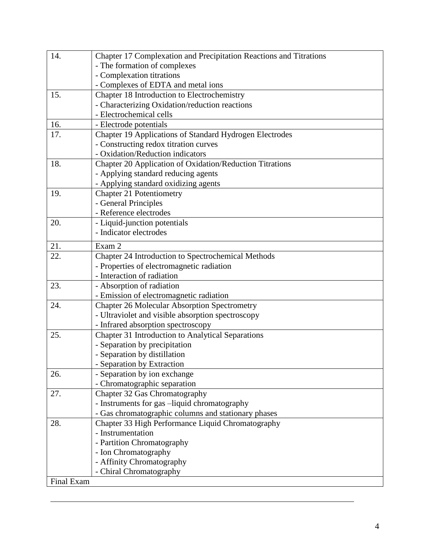| 14.        | Chapter 17 Complexation and Precipitation Reactions and Titrations |  |  |  |  |  |  |
|------------|--------------------------------------------------------------------|--|--|--|--|--|--|
|            | - The formation of complexes                                       |  |  |  |  |  |  |
|            | - Complexation titrations                                          |  |  |  |  |  |  |
|            | - Complexes of EDTA and metal ions                                 |  |  |  |  |  |  |
| 15.        | Chapter 18 Introduction to Electrochemistry                        |  |  |  |  |  |  |
|            | - Characterizing Oxidation/reduction reactions                     |  |  |  |  |  |  |
|            | - Electrochemical cells                                            |  |  |  |  |  |  |
| 16.        | - Electrode potentials                                             |  |  |  |  |  |  |
| 17.        | Chapter 19 Applications of Standard Hydrogen Electrodes            |  |  |  |  |  |  |
|            | - Constructing redox titration curves                              |  |  |  |  |  |  |
|            | - Oxidation/Reduction indicators                                   |  |  |  |  |  |  |
| 18.        | Chapter 20 Application of Oxidation/Reduction Titrations           |  |  |  |  |  |  |
|            | - Applying standard reducing agents                                |  |  |  |  |  |  |
|            | - Applying standard oxidizing agents                               |  |  |  |  |  |  |
| 19.        | <b>Chapter 21 Potentiometry</b>                                    |  |  |  |  |  |  |
|            | - General Principles                                               |  |  |  |  |  |  |
|            | - Reference electrodes                                             |  |  |  |  |  |  |
| 20.        | - Liquid-junction potentials                                       |  |  |  |  |  |  |
|            | - Indicator electrodes                                             |  |  |  |  |  |  |
| 21.        | Exam 2                                                             |  |  |  |  |  |  |
| 22.        | Chapter 24 Introduction to Spectrochemical Methods                 |  |  |  |  |  |  |
|            | - Properties of electromagnetic radiation                          |  |  |  |  |  |  |
|            | - Interaction of radiation                                         |  |  |  |  |  |  |
| 23.        | - Absorption of radiation                                          |  |  |  |  |  |  |
|            | - Emission of electromagnetic radiation                            |  |  |  |  |  |  |
| 24.        | <b>Chapter 26 Molecular Absorption Spectrometry</b>                |  |  |  |  |  |  |
|            | - Ultraviolet and visible absorption spectroscopy                  |  |  |  |  |  |  |
|            | - Infrared absorption spectroscopy                                 |  |  |  |  |  |  |
| 25.        | <b>Chapter 31 Introduction to Analytical Separations</b>           |  |  |  |  |  |  |
|            | - Separation by precipitation                                      |  |  |  |  |  |  |
|            | - Separation by distillation                                       |  |  |  |  |  |  |
|            | Separation by Extraction                                           |  |  |  |  |  |  |
| 26.        | - Separation by ion exchange                                       |  |  |  |  |  |  |
|            | - Chromatographic separation                                       |  |  |  |  |  |  |
| 27.        | Chapter 32 Gas Chromatography                                      |  |  |  |  |  |  |
|            | - Instruments for gas -liquid chromatography                       |  |  |  |  |  |  |
|            | - Gas chromatographic columns and stationary phases                |  |  |  |  |  |  |
| 28.        | Chapter 33 High Performance Liquid Chromatography                  |  |  |  |  |  |  |
|            | - Instrumentation                                                  |  |  |  |  |  |  |
|            | - Partition Chromatography                                         |  |  |  |  |  |  |
|            | - Ion Chromatography                                               |  |  |  |  |  |  |
|            | - Affinity Chromatography                                          |  |  |  |  |  |  |
|            | - Chiral Chromatography                                            |  |  |  |  |  |  |
| Final Exam |                                                                    |  |  |  |  |  |  |